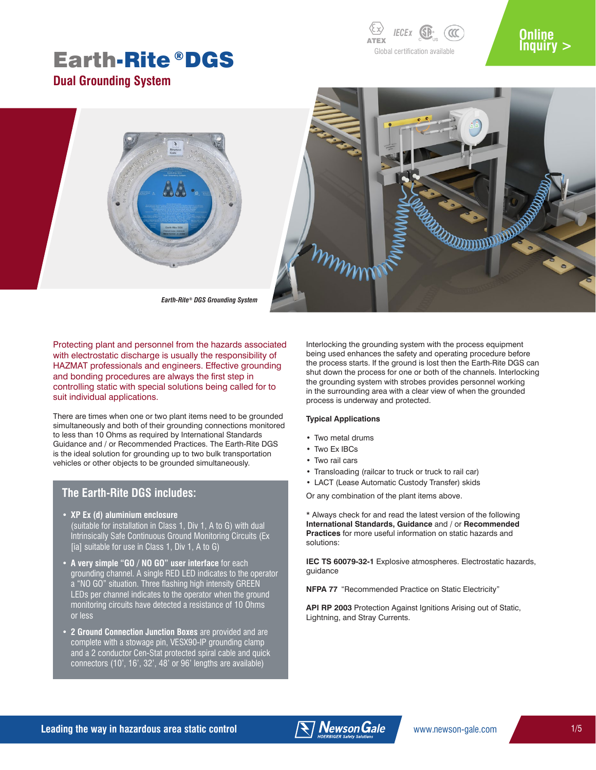# Earth-Rite®DGS



### **Online [Inquiry >](https://newson-gale.com/product-inquiry/)**



*Earth-Rite® DGS Grounding System*

Protecting plant and personnel from the hazards associated with electrostatic discharge is usually the responsibility of HAZMAT professionals and engineers. Effective grounding and bonding procedures are always the first step in controlling static with special solutions being called for to suit individual applications.

There are times when one or two plant items need to be grounded simultaneously and both of their grounding connections monitored to less than 10 Ohms as required by International Standards Guidance and / or Recommended Practices. The Earth-Rite DGS is the ideal solution for grounding up to two bulk transportation vehicles or other objects to be grounded simultaneously.

### **The Earth-Rite DGS includes:**

- **• XP Ex (d) aluminium enclosure** (suitable for installation in Class 1, Div 1, A to G) with dual Intrinsically Safe Continuous Ground Monitoring Circuits (Ex [ia] suitable for use in Class 1, Div 1, A to G)
- **• A very simple "GO / NO GO" user interface** for each grounding channel. A single RED LED indicates to the operator a "NO GO" situation. Three flashing high intensity GREEN LEDs per channel indicates to the operator when the ground monitoring circuits have detected a resistance of 10 Ohms or less
- **• 2 Ground Connection Junction Boxes** are provided and are complete with a stowage pin, VESX90-IP grounding clamp and a 2 conductor Cen-Stat protected spiral cable and quick connectors (10', 16', 32', 48' or 96' lengths are available)

Interlocking the grounding system with the process equipment being used enhances the safety and operating procedure before the process starts. If the ground is lost then the Earth-Rite DGS can shut down the process for one or both of the channels. Interlocking the grounding system with strobes provides personnel working in the surrounding area with a clear view of when the grounded process is underway and protected.

#### **Typical Applications**

- Two metal drums
- Two Ex IBCs
- Two rail cars
- Transloading (railcar to truck or truck to rail car)
- LACT (Lease Automatic Custody Transfer) skids

Or any combination of the plant items above.

\* Always check for and read the latest version of the following **International Standards, Guidance** and / or **Recommended Practices** for more useful information on static hazards and solutions:

**IEC TS 60079-32-1** Explosive atmospheres. Electrostatic hazards, guidance

**NFPA 77** "Recommended Practice on Static Electricity"

**API RP 2003** Protection Against Ignitions Arising out of Static, Lightning, and Stray Currents.

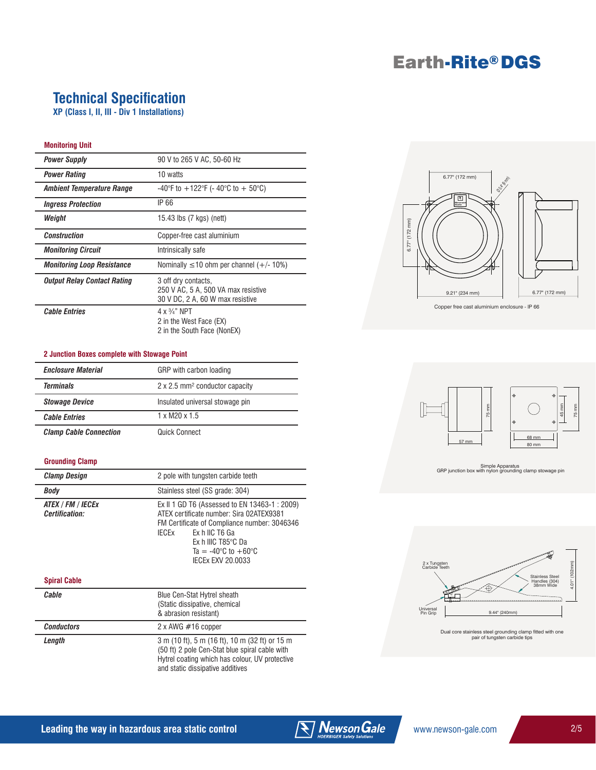## Earth-Rite® DGS

### **Technical Specification**

**XP (Class I, II, III - Div 1 Installations)**

#### **Monitoring Unit**

| <b>Power Supply</b>               | 90 V to 265 V AC, 50-60 Hz                                                                     |
|-----------------------------------|------------------------------------------------------------------------------------------------|
| <b>Power Rating</b>               | 10 watts                                                                                       |
| Ambient Temperature Range         | -40°F to $+122$ °F (-40°C to +50°C)                                                            |
| <i><b>Ingress Protection</b></i>  | IP 66                                                                                          |
| Weight                            | 15.43 lbs (7 kgs) (nett)                                                                       |
| <b>Construction</b>               | Copper-free cast aluminium                                                                     |
| <b>Monitoring Circuit</b>         | Intrinsically safe                                                                             |
| <b>Monitoring Loop Resistance</b> | Nominally $\leq 10$ ohm per channel (+/- 10%)                                                  |
| Output Relay Contact Rating       | 3 off dry contacts,<br>250 V AC, 5 A, 500 VA max resistive<br>30 V DC, 2 A, 60 W max resistive |
| <b>Cable Entries</b>              | $4 \times \frac{3}{4}$ " NPT<br>2 in the West Face (EX)<br>2 in the South Face (NonEX)         |

#### **2 Junction Boxes complete with Stowage Point**

| <b>Enclosure Material</b>     | GRP with carbon loading                           |
|-------------------------------|---------------------------------------------------|
| <b>Terminals</b>              | $2 \times 2.5$ mm <sup>2</sup> conductor capacity |
| <b>Stowage Device</b>         | Insulated universal stowage pin                   |
| <b>Cable Entries</b>          | $1 \times M$ 20 $\times 1.5$                      |
| <b>Clamp Cable Connection</b> | Quick Connect                                     |

#### **Grounding Clamp**

| <b>Clamp Design</b>                 | 2 pole with tungsten carbide teeth                                                                                                                                                                                                                                     |
|-------------------------------------|------------------------------------------------------------------------------------------------------------------------------------------------------------------------------------------------------------------------------------------------------------------------|
| Body                                | Stainless steel (SS grade: 304)                                                                                                                                                                                                                                        |
| ATEX / FM / IECEx<br>Certification: | Ex II 1 GD T6 (Assessed to EN 13463-1 : 2009)<br>ATEX certificate number: Sira 02ATEX9381<br>FM Certificate of Compliance number: 3046346<br>IFCFx<br>Ex h IIC T6 Ga<br>$Fx$ h IIIC T85 $°C$ Da<br>Ta = $-40^{\circ}$ C to $+60^{\circ}$ C<br><b>IFCEX EXV 20.0033</b> |

#### **Spiral Cable**

| Cable             | Blue Cen-Stat Hytrel sheath<br>(Static dissipative, chemical<br>& abrasion resistant)                                                                                                  |
|-------------------|----------------------------------------------------------------------------------------------------------------------------------------------------------------------------------------|
| <b>Conductors</b> | $2 \times$ AWG $\#$ 16 copper                                                                                                                                                          |
| Lenath            | 3 m (10 ft), 5 m (16 ft), 10 m (32 ft) or 15 m<br>(50 ft) 2 pole Cen-Stat blue spiral cable with<br>Hytrel coating which has colour, UV protective<br>and static dissipative additives |



Copper free cast aluminium enclosure - IP 66



Simple Apparatus GRP junction box with nylon grounding clamp stowage pin





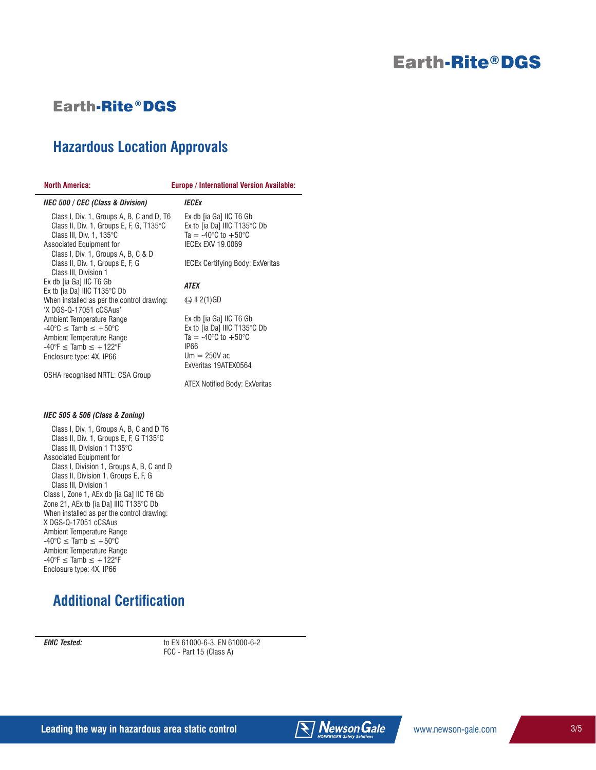### Earth-Rite® DGS

### **Earth-Rite®DGS**

### **Hazardous Location Approvals**

| NOMIN AMERICA:                                                                                                                                                                          | Europe / Int                                                       |
|-----------------------------------------------------------------------------------------------------------------------------------------------------------------------------------------|--------------------------------------------------------------------|
| <b>NEC 500 / CEC (Class &amp; Division)</b>                                                                                                                                             | IECEx                                                              |
| Class I, Div. 1, Groups A, B, C and D, T6<br>Class II, Div. 1, Groups E, F, G, T135°C<br>Class III, Div. 1, 135°C<br>Associated Equipment for                                           | Ex db [i<br>Ex tb [ia<br>$Ta = -4$<br><b>IECEXE</b>                |
| Class I, Div. 1, Groups A, B, C & D<br>Class II, Div. 1, Groups E, F, G<br>Class III, Division 1                                                                                        | <b>IECEX C</b>                                                     |
| Ex db [ia Ga] IIC T6 Gb<br>Ex tb [ia Da] IIIC T135°C Db                                                                                                                                 | ATEX                                                               |
| When installed as per the control drawing:<br>'X DGS-Q-17051 cCSAus'                                                                                                                    | $\textcircled{k}$ II 2(1                                           |
| Ambient Temperature Range<br>$-40^{\circ}$ C $\leq$ Tamb $\leq +50^{\circ}$ C<br>Ambient Temperature Range<br>$-40^{\circ}F \leq$ Tamb $\leq +122^{\circ}F$<br>Enclosure type: 4X, IP66 | Ex db [i<br>Ex tb [ia<br>$Ta = -4$<br>IP66<br>$Um = 2$<br>ExVerita |
| OSHA recognised NRTL: CSA Group                                                                                                                                                         |                                                                    |
|                                                                                                                                                                                         |                                                                    |

**North America: Europe / International Version Available:**

ia Ga] IIC T6 Gb I Da] IIIC T135°C Db  $10^{\circ}$ C to  $+50^{\circ}$ C IXV 19.0069 Certifying Body: ExVeritas  $1)$ GD ia Ga] IIC T6 Gb I Da] IIIC T135°C Db  $10^{\circ}$ C to  $+50^{\circ}$ C 250V ac as 19ATEX0564

ATEX Notified Body: ExVeritas

#### *NEC 505 & 506 (Class & Zoning)*

 Class I, Div. 1, Groups A, B, C and D T6 Class II, Div. 1, Groups E, F, G T135°C Class III, Division 1 T135°C Associated Equipment for Class I, Division 1, Groups A, B, C and D Class II, Division 1, Groups E, F, G Class III, Division 1 Class I, Zone 1, AEx db [ia Ga] IIC T6 Gb Zone 21, AEx tb [ia Da] IIIC T135°C Db When installed as per the control drawing: X DGS-Q-17051 cCSAus Ambient Temperature Range  $-40^{\circ}$ C  $\leq$  Tamb  $\leq +50^{\circ}$ C Ambient Temperature Range  $-40^{\circ}F \leq$  Tamb  $\leq +122^{\circ}F$ Enclosure type: 4X, IP66

### **Additional Certification**

*EMC Tested:* to EN 61000-6-3, EN 61000-6-2 FCC - Part 15 (Class A)

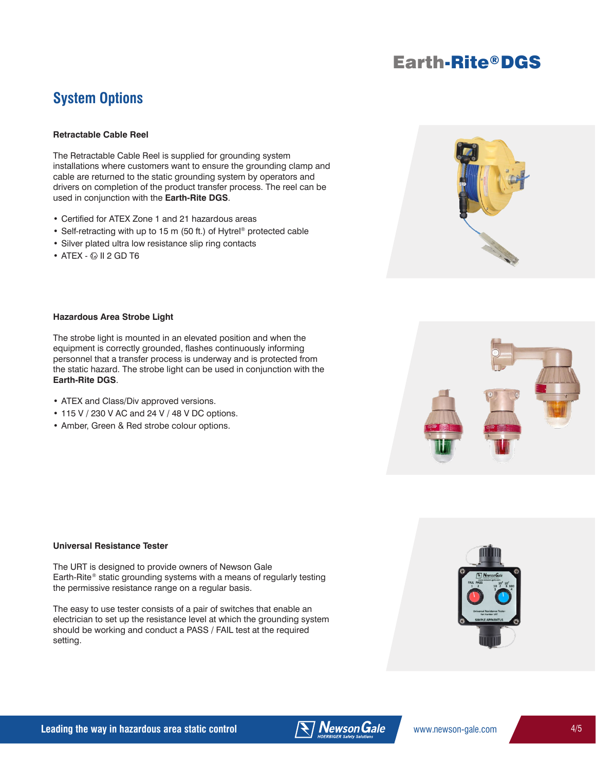## Earth-Rite® DGS

### **System Options**

#### **Retractable Cable Reel**

The Retractable Cable Reel is supplied for grounding system installations where customers want to ensure the grounding clamp and cable are returned to the static grounding system by operators and drivers on completion of the product transfer process. The reel can be used in conjunction with the **Earth-Rite DGS**.

- Certified for ATEX Zone 1 and 21 hazardous areas
- Self-retracting with up to 15 m (50 ft.) of Hytrel<sup>®</sup> protected cable
- Silver plated ultra low resistance slip ring contacts
- $\bullet$  ATEX  $\textcircled{\scriptsize{\text{W}}}$  II 2 GD T6



#### **Hazardous Area Strobe Light**

The strobe light is mounted in an elevated position and when the equipment is correctly grounded, flashes continuously informing personnel that a transfer process is underway and is protected from the static hazard. The strobe light can be used in conjunction with the **Earth-Rite DGS**.

- ATEX and Class/Div approved versions.
- 115 V / 230 V AC and 24 V / 48 V DC options.
- Amber, Green & Red strobe colour options.



The URT is designed to provide owners of Newson Gale Earth-Rite® static grounding systems with a means of regularly testing the permissive resistance range on a regular basis.

The easy to use tester consists of a pair of switches that enable an electrician to set up the resistance level at which the grounding system should be working and conduct a PASS / FAIL test at the required setting.